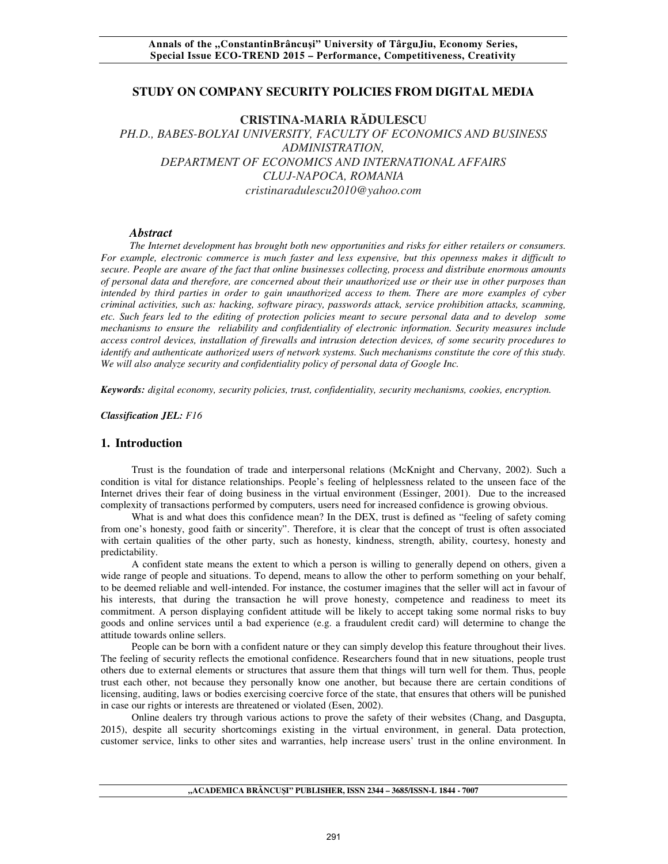## **STUDY ON COMPANY SECURITY POLICIES FROM DIGITAL MEDIA**

# **CRISTINA-MARIA RĂDULESCU**

*PH.D., BABES-BOLYAI UNIVERSITY, FACULTY OF ECONOMICS AND BUSINESS ADMINISTRATION, DEPARTMENT OF ECONOMICS AND INTERNATIONAL AFFAIRS CLUJ-NAPOCA, ROMANIA cristinaradulescu2010@yahoo.com* 

#### *Abstract*

*The Internet development has brought both new opportunities and risks for either retailers or consumers. For example, electronic commerce is much faster and less expensive, but this openness makes it difficult to secure. People are aware of the fact that online businesses collecting, process and distribute enormous amounts of personal data and therefore, are concerned about their unauthorized use or their use in other purposes than intended by third parties in order to gain unauthorized access to them. There are more examples of cyber criminal activities, such as: hacking, software piracy, passwords attack, service prohibition attacks, scamming, etc. Such fears led to the editing of protection policies meant to secure personal data and to develop some mechanisms to ensure the reliability and confidentiality of electronic information. Security measures include access control devices, installation of firewalls and intrusion detection devices, of some security procedures to identify and authenticate authorized users of network systems. Such mechanisms constitute the core of this study. We will also analyze security and confidentiality policy of personal data of Google Inc.* 

*Keywords: digital economy, security policies, trust, confidentiality, security mechanisms, cookies, encryption.*

*Classification JEL: F16*

### **1. Introduction**

Trust is the foundation of trade and interpersonal relations (McKnight and Chervany, 2002). Such a condition is vital for distance relationships. People's feeling of helplessness related to the unseen face of the Internet drives their fear of doing business in the virtual environment (Essinger, 2001). Due to the increased complexity of transactions performed by computers, users need for increased confidence is growing obvious.

What is and what does this confidence mean? In the DEX, trust is defined as "feeling of safety coming from one's honesty, good faith or sincerity". Therefore, it is clear that the concept of trust is often associated with certain qualities of the other party, such as honesty, kindness, strength, ability, courtesy, honesty and predictability.

A confident state means the extent to which a person is willing to generally depend on others, given a wide range of people and situations. To depend, means to allow the other to perform something on your behalf, to be deemed reliable and well-intended. For instance, the costumer imagines that the seller will act in favour of his interests, that during the transaction he will prove honesty, competence and readiness to meet its commitment. A person displaying confident attitude will be likely to accept taking some normal risks to buy goods and online services until a bad experience (e.g. a fraudulent credit card) will determine to change the attitude towards online sellers.

People can be born with a confident nature or they can simply develop this feature throughout their lives. The feeling of security reflects the emotional confidence. Researchers found that in new situations, people trust others due to external elements or structures that assure them that things will turn well for them. Thus, people trust each other, not because they personally know one another, but because there are certain conditions of licensing, auditing, laws or bodies exercising coercive force of the state, that ensures that others will be punished in case our rights or interests are threatened or violated (Esen, 2002).

Online dealers try through various actions to prove the safety of their websites (Chang, and Dasgupta, 2015), despite all security shortcomings existing in the virtual environment, in general. Data protection, customer service, links to other sites and warranties, help increase users' trust in the online environment. In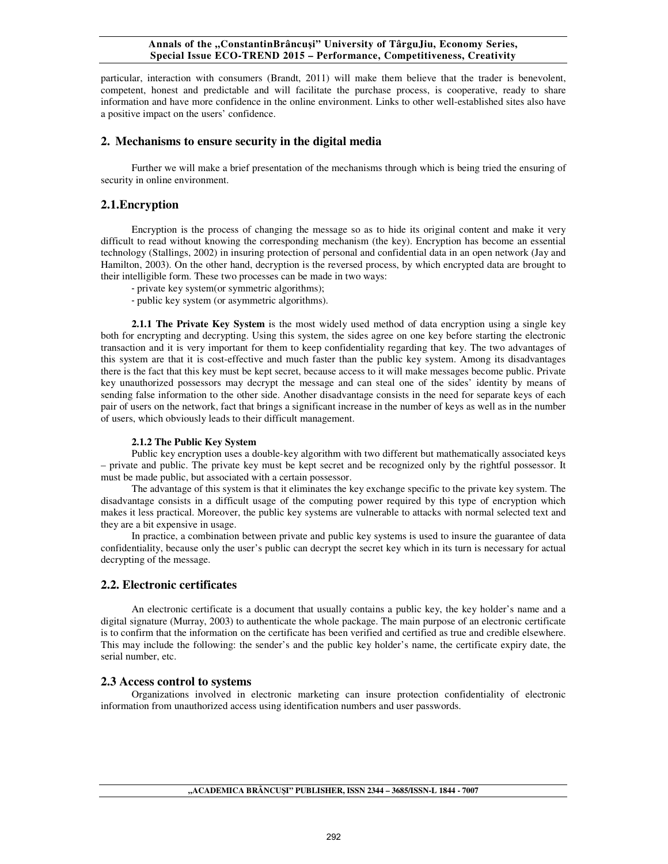#### **Annals of the "ConstantinBrâncuşi" University of TârguJiu, Economy Series, Special Issue ECO-TREND 2015 – Performance, Competitiveness, Creativity**

particular, interaction with consumers (Brandt, 2011) will make them believe that the trader is benevolent, competent, honest and predictable and will facilitate the purchase process, is cooperative, ready to share information and have more confidence in the online environment. Links to other well-established sites also have a positive impact on the users' confidence.

## **2. Mechanisms to ensure security in the digital media**

Further we will make a brief presentation of the mechanisms through which is being tried the ensuring of security in online environment.

## **2.1.Encryption**

Encryption is the process of changing the message so as to hide its original content and make it very difficult to read without knowing the corresponding mechanism (the key). Encryption has become an essential technology (Stallings, 2002) in insuring protection of personal and confidential data in an open network (Jay and Hamilton, 2003). On the other hand, decryption is the reversed process, by which encrypted data are brought to their intelligible form. These two processes can be made in two ways:

- private key system(or symmetric algorithms);

- public key system (or asymmetric algorithms).

**2.1.1 The Private Key System** is the most widely used method of data encryption using a single key both for encrypting and decrypting. Using this system, the sides agree on one key before starting the electronic transaction and it is very important for them to keep confidentiality regarding that key. The two advantages of this system are that it is cost-effective and much faster than the public key system. Among its disadvantages there is the fact that this key must be kept secret, because access to it will make messages become public. Private key unauthorized possessors may decrypt the message and can steal one of the sides' identity by means of sending false information to the other side. Another disadvantage consists in the need for separate keys of each pair of users on the network, fact that brings a significant increase in the number of keys as well as in the number of users, which obviously leads to their difficult management.

#### **2.1.2 The Public Key System**

Public key encryption uses a double-key algorithm with two different but mathematically associated keys – private and public. The private key must be kept secret and be recognized only by the rightful possessor. It must be made public, but associated with a certain possessor.

The advantage of this system is that it eliminates the key exchange specific to the private key system. The disadvantage consists in a difficult usage of the computing power required by this type of encryption which makes it less practical. Moreover, the public key systems are vulnerable to attacks with normal selected text and they are a bit expensive in usage.

In practice, a combination between private and public key systems is used to insure the guarantee of data confidentiality, because only the user's public can decrypt the secret key which in its turn is necessary for actual decrypting of the message.

## **2.2. Electronic certificates**

An electronic certificate is a document that usually contains a public key, the key holder's name and a digital signature (Murray, 2003) to authenticate the whole package. The main purpose of an electronic certificate is to confirm that the information on the certificate has been verified and certified as true and credible elsewhere. This may include the following: the sender's and the public key holder's name, the certificate expiry date, the serial number, etc.

### **2.3 Access control to systems**

Organizations involved in electronic marketing can insure protection confidentiality of electronic information from unauthorized access using identification numbers and user passwords.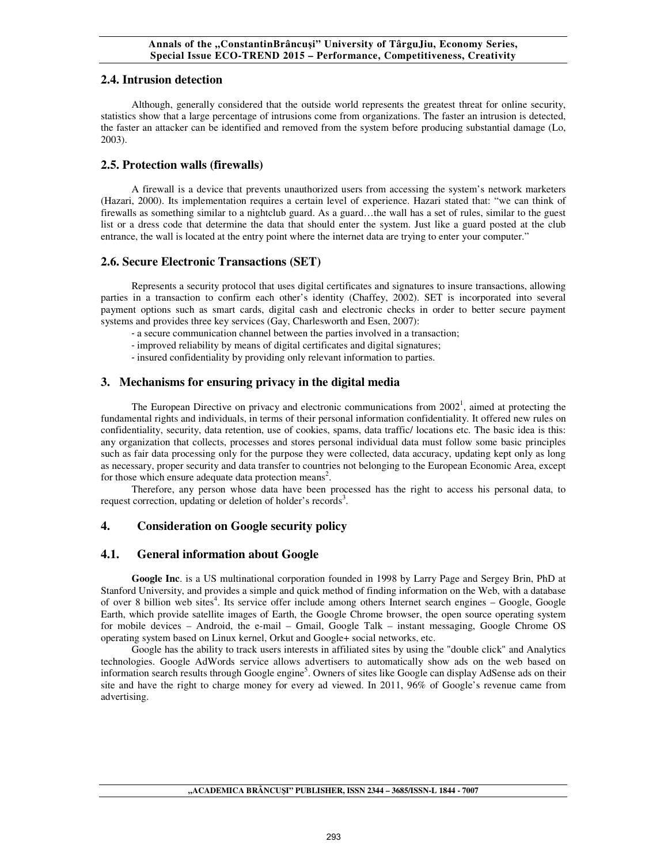# **2.4. Intrusion detection**

Although, generally considered that the outside world represents the greatest threat for online security, statistics show that a large percentage of intrusions come from organizations. The faster an intrusion is detected, the faster an attacker can be identified and removed from the system before producing substantial damage (Lo, 2003).

# **2.5. Protection walls (firewalls)**

A firewall is a device that prevents unauthorized users from accessing the system's network marketers (Hazari, 2000). Its implementation requires a certain level of experience. Hazari stated that: "we can think of firewalls as something similar to a nightclub guard. As a guard…the wall has a set of rules, similar to the guest list or a dress code that determine the data that should enter the system. Just like a guard posted at the club entrance, the wall is located at the entry point where the internet data are trying to enter your computer."

# **2.6. Secure Electronic Transactions (SET)**

Represents a security protocol that uses digital certificates and signatures to insure transactions, allowing parties in a transaction to confirm each other's identity (Chaffey, 2002). SET is incorporated into several payment options such as smart cards, digital cash and electronic checks in order to better secure payment systems and provides three key services (Gay, Charlesworth and Esen, 2007):

- a secure communication channel between the parties involved in a transaction;
- improved reliability by means of digital certificates and digital signatures;
- insured confidentiality by providing only relevant information to parties.

# **3. Mechanisms for ensuring privacy in the digital media**

The European Directive on privacy and electronic communications from  $2002<sup>1</sup>$ , aimed at protecting the fundamental rights and individuals, in terms of their personal information confidentiality. It offered new rules on confidentiality, security, data retention, use of cookies, spams, data traffic/ locations etc. The basic idea is this: any organization that collects, processes and stores personal individual data must follow some basic principles such as fair data processing only for the purpose they were collected, data accuracy, updating kept only as long as necessary, proper security and data transfer to countries not belonging to the European Economic Area, except for those which ensure adequate data protection means<sup>2</sup>.

Therefore, any person whose data have been processed has the right to access his personal data, to request correction, updating or deletion of holder's records<sup>3</sup>.

# **4. Consideration on Google security policy**

## **4.1. General information about Google**

**Google Inc**. is a US multinational corporation founded in 1998 by Larry Page and Sergey Brin, PhD at Stanford University, and provides a simple and quick method of finding information on the Web, with a database of over 8 billion web sites<sup>4</sup>. Its service offer include among others Internet search engines – Google, Google Earth, which provide satellite images of Earth, the Google Chrome browser, the open source operating system for mobile devices – Android, the e-mail – Gmail, Google Talk – instant messaging, Google Chrome OS operating system based on Linux kernel, Orkut and Google+ social networks, etc.

Google has the ability to track users interests in affiliated sites by using the "double click" and Analytics technologies. Google AdWords service allows advertisers to automatically show ads on the web based on information search results through Google engine<sup>5</sup>. Owners of sites like Google can display AdSense ads on their site and have the right to charge money for every ad viewed. In 2011, 96% of Google's revenue came from advertising.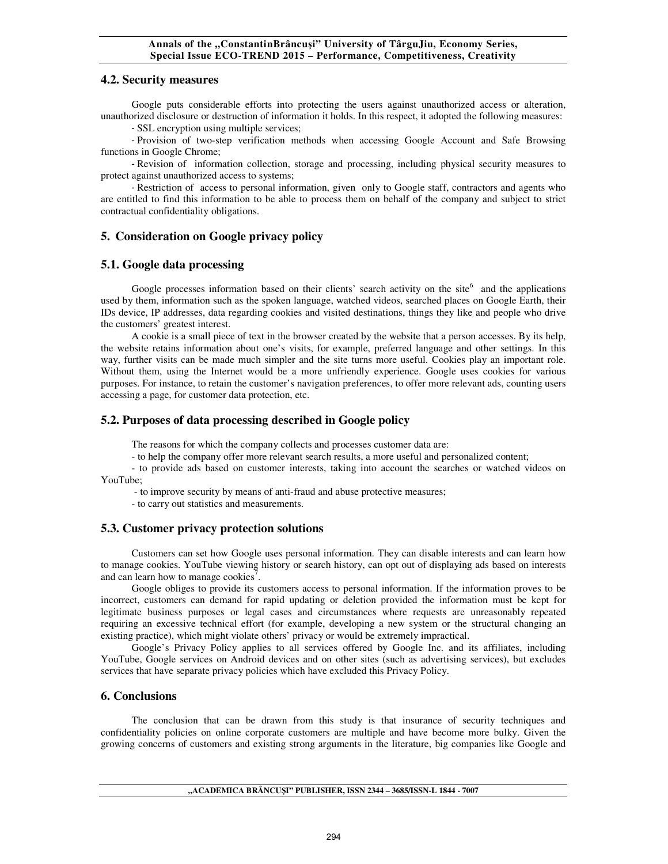#### **Annals of the "ConstantinBrâncuşi" University of TârguJiu, Economy Series, Special Issue ECO-TREND 2015 – Performance, Competitiveness, Creativity**

#### **4.2. Security measures**

Google puts considerable efforts into protecting the users against unauthorized access or alteration, unauthorized disclosure or destruction of information it holds. In this respect, it adopted the following measures:

- SSL encryption using multiple services;

- Provision of two-step verification methods when accessing Google Account and Safe Browsing functions in Google Chrome;

- Revision of information collection, storage and processing, including physical security measures to protect against unauthorized access to systems;

- Restriction of access to personal information, given only to Google staff, contractors and agents who are entitled to find this information to be able to process them on behalf of the company and subject to strict contractual confidentiality obligations.

## **5. Consideration on Google privacy policy**

### **5.1. Google data processing**

Google processes information based on their clients' search activity on the site $6$  and the applications used by them, information such as the spoken language, watched videos, searched places on Google Earth, their IDs device, IP addresses, data regarding cookies and visited destinations, things they like and people who drive the customers' greatest interest.

A cookie is a small piece of text in the browser created by the website that a person accesses. By its help, the website retains information about one's visits, for example, preferred language and other settings. In this way, further visits can be made much simpler and the site turns more useful. Cookies play an important role. Without them, using the Internet would be a more unfriendly experience. Google uses cookies for various purposes. For instance, to retain the customer's navigation preferences, to offer more relevant ads, counting users accessing a page, for customer data protection, etc.

### **5.2. Purposes of data processing described in Google policy**

The reasons for which the company collects and processes customer data are:

- to help the company offer more relevant search results, a more useful and personalized content;

- to provide ads based on customer interests, taking into account the searches or watched videos on YouTube;

- to improve security by means of anti-fraud and abuse protective measures;

- to carry out statistics and measurements.

### **5.3. Customer privacy protection solutions**

Customers can set how Google uses personal information. They can disable interests and can learn how to manage cookies. YouTube viewing history or search history, can opt out of displaying ads based on interests and can learn how to manage cookies<sup>7</sup>.

Google obliges to provide its customers access to personal information. If the information proves to be incorrect, customers can demand for rapid updating or deletion provided the information must be kept for legitimate business purposes or legal cases and circumstances where requests are unreasonably repeated requiring an excessive technical effort (for example, developing a new system or the structural changing an existing practice), which might violate others' privacy or would be extremely impractical.

Google's Privacy Policy applies to all services offered by Google Inc. and its affiliates, including YouTube, Google services on Android devices and on other sites (such as advertising services), but excludes services that have separate privacy policies which have excluded this Privacy Policy.

## **6. Conclusions**

The conclusion that can be drawn from this study is that insurance of security techniques and confidentiality policies on online corporate customers are multiple and have become more bulky. Given the growing concerns of customers and existing strong arguments in the literature, big companies like Google and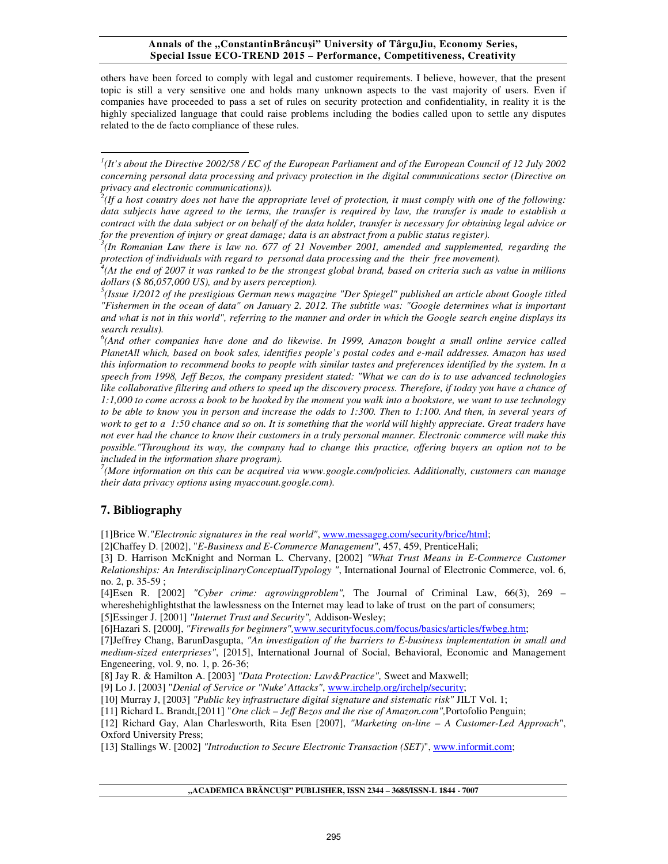#### **Annals of the "ConstantinBrâncuşi" University of TârguJiu, Economy Series, Special Issue ECO-TREND 2015 – Performance, Competitiveness, Creativity**

others have been forced to comply with legal and customer requirements. I believe, however, that the present topic is still a very sensitive one and holds many unknown aspects to the vast majority of users. Even if companies have proceeded to pass a set of rules on security protection and confidentiality, in reality it is the highly specialized language that could raise problems including the bodies called upon to settle any disputes related to the de facto compliance of these rules.

*7 (More information on this can be acquired via www.google.com/policies. Additionally, customers can manage their data privacy options using myaccount.google.com).* 

# **7. Bibliography**

 $\overline{a}$ 

[1]Brice W.*"Electronic signatures in the real world"*, www.messageg.com/security/brice/html;

[2]Chaffey D. [2002], "*E-Business and E-Commerce Management"*, 457, 459, PrenticeHali;

[3] D. Harrison McKnight and Norman L. Chervany, [2002] *"What Trust Means in E-Commerce Customer Relationships: An InterdisciplinaryConceptualTypology "*, International Journal of Electronic Commerce, vol. 6, no. 2, p. 35-59 ;

[4]Esen R. [2002] *"Cyber crime: agrowingproblem",* The Journal of Criminal Law, 66(3), 269 – whereshehighlightsthat the lawlessness on the Internet may lead to lake of trust on the part of consumers; [5]Essinger J. [2001] *"Internet Trust and Security",* Addison-Wesley;

[6]Hazari S. [2000], *"Firewalls for beginners",*www.securityfocus.com/focus/basics/articles/fwbeg.htm;

[7]Jeffrey Chang, BarunDasgupta, *"An investigation of the barriers to E-business implementation in small and medium-sized enterprieses"*, [2015], International Journal of Social, Behavioral, Economic and Management Engeneering, vol. 9, no. 1, p. 26-36;

[9] Lo J. [2003] "*Denial of Service or "Nuke' Attacks"*, www.irchelp.org/irchelp/security;

[10] Murray J, [2003] *"Public key infrastructure digital signature and sistematic risk"* JILT Vol. 1;

[11] Richard L. Brandt,[2011] "*One click – Jeff Bezos and the rise of Amazon.com",*Portofolio Penguin;

[12] Richard Gay, Alan Charlesworth, Rita Esen [2007], *"Marketing on-line – A Customer-Led Approach"*, Oxford University Press;

[13] Stallings W. [2002] *"Introduction to Secure Electronic Transaction (SET)*", www.informit.com;

<sup>&</sup>lt;sup>1</sup>(It's about the Directive 2002/58 / EC of the European Parliament and of the European Council of 12 July 2002 *concerning personal data processing and privacy protection in the digital communications sector (Directive on privacy and electronic communications)).* 

<sup>&</sup>lt;sup>2</sup>(If a host country does not have the appropriate level of protection, it must comply with one of the following: *data subjects have agreed to the terms, the transfer is required by law, the transfer is made to establish a contract with the data subject or on behalf of the data holder, transfer is necessary for obtaining legal advice or for the prevention of injury or great damage; data is an abstract from a public status register).* 

<sup>&</sup>lt;sup>3</sup>(In Romanian Law there is law no. 677 of 21 November 2001, amended and supplemented, regarding the

protection of individuals with regard to personal data processing and the their free movement).<br><sup>4</sup>(At the end of 2007 it was ranked to be the strongest global brand, based on criteria such as value in millions *dollars (\$ 86,057,000 US), and by users perception).* 

<sup>&</sup>lt;sup>5</sup>(Issue 1/2012 of the prestigious German news magazine "Der Spiegel" published an article about Google titled *"Fishermen in the ocean of data" on January 2. 2012. The subtitle was: "Google determines what is important and what is not in this world", referring to the manner and order in which the Google search engine displays its search results).* 

<sup>&</sup>lt;sup>6</sup>(And other companies have done and do likewise. In 1999, Amazon bought a small online service called *PlanetAll which, based on book sales, identifies people's postal codes and e-mail addresses. Amazon has used this information to recommend books to people with similar tastes and preferences identified by the system. In a speech from 1998, Jeff Bezos, the company president stated: "What we can do is to use advanced technologies like collaborative filtering and others to speed up the discovery process. Therefore, if today you have a chance of 1:1,000 to come across a book to be hooked by the moment you walk into a bookstore, we want to use technology to be able to know you in person and increase the odds to 1:300. Then to 1:100. And then, in several years of work to get to a 1:50 chance and so on. It is something that the world will highly appreciate. Great traders have not ever had the chance to know their customers in a truly personal manner. Electronic commerce will make this possible."Throughout its way, the company had to change this practice, offering buyers an option not to be included in the information share program).* 

<sup>[8]</sup> Jay R. & Hamilton A. [2003] *"Data Protection: Law&Practice",* Sweet and Maxwell;